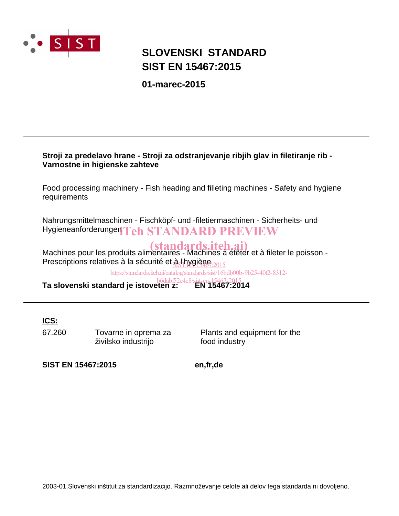

## **SIST EN 15467:2015 SLOVENSKI STANDARD**

**01-marec-2015**

### **Stroji za predelavo hrane - Stroji za odstranjevanje ribjih glav in filetiranje rib - Varnostne in higienske zahteve**

Food processing machinery - Fish heading and filleting machines - Safety and hygiene requirements

Nahrungsmittelmaschinen - Fischköpf- und -filetiermaschinen - Sicherheits- und Hygieneanforderungen Teh STANDARD PREVIEW

Machines pour les produits alimentaires - Machines à étêter et à fileter le poisson -Prescriptions relatives à la sécurité et à l'hygiène 2015

https://standards.iteh.ai/catalog/standards/sist/16bdb00b-9b25-40f2-8312-

**Ta slovenski standard je istoveten z:** b6dabf52e4c8/sist-en-15467-2015

**ICS:**

67.260 Tovarne in oprema za živilsko industrijo

Plants and equipment for the food industry

**SIST EN 15467:2015 en,fr,de**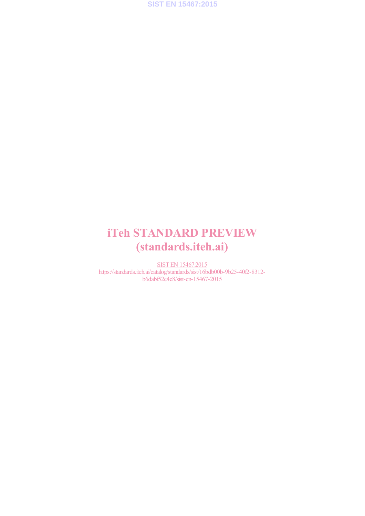

# iTeh STANDARD PREVIEW (standards.iteh.ai)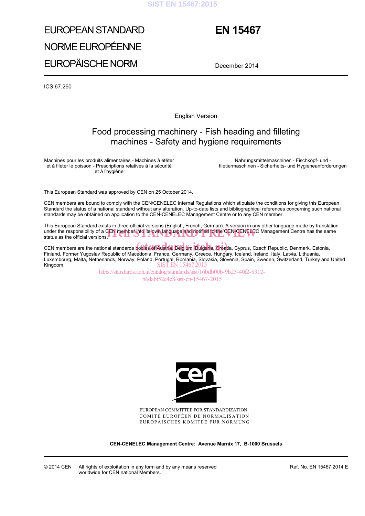#### **SIST EN 15467:2015**

# EUROPEAN STANDARD NORME EUROPÉENNE EUROPÄISCHE NORM

### **EN 15467**

December 2014

ICS 67.260

English Version

### Food processing machinery - Fish heading and filleting machines - Safety and hygiene requirements

Machines pour les produits alimentaires - Machines à étêter et à fileter le poisson - Prescriptions relatives à la sécurité et à l'hygiène

 Nahrungsmittelmaschinen - Fischköpf- und filetiermaschinen - Sicherheits- und Hygieneanforderungen

This European Standard was approved by CEN on 25 October 2014.

CEN members are bound to comply with the CEN/CENELEC Internal Regulations which stipulate the conditions for giving this European Standard the status of a national standard without any alteration. Up-to-date lists and bibliographical references concerning such national standards may be obtained on application to the CEN-CENELEC Management Centre or to any CEN member.

This European Standard exists in three official versions (English, French, German). A version in any other language made by translation under the responsibility of a CEN member into its own language and notified to the CEN-CENELEC Management Centre has the same status as the official versions. status as the official versions.

CEN members are the national standards bodies of Austria, Belgium, Bulgaria, Croatia, Cyprus, Czech Republic, Denmark, Estonia, cEN members are the national standards bodies of Austria, Belgium, Bulgaria, Croatia, Cyprus, Czech Republic, Denmark, Esto<br>Finland, Former Yugoslav Republic of Macedonia, France, Germany, Greece, Hungary, Iceland, Ireland Luxembourg, Malta, Netherlands, Norway, Poland, Portugal, Romania, Slovakia, Slovenia, Spain, Sweden, Switzerland, Turkey and United Kingdom.<br>Kingdom. Kingdom.

https://standards.iteh.ai/catalog/standards/sist/16bdb00b-9b25-40f2-8312 b6dabf52e4c8/sist-en-15467-2015



EUROPEAN COMMITTEE FOR STANDARDIZATION COMITÉ EUROPÉEN DE NORMALISATION EUROPÄISCHES KOMITEE FÜR NORMUNG

**CEN-CENELEC Management Centre: Avenue Marnix 17, B-1000 Brussels** 

Ref. No. EN 15467:2014 E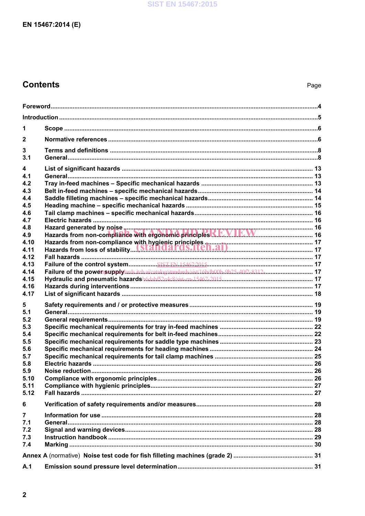### **Contents**

| 1                                                                                        |                                                                                                                                                                                                                                                                                                                            |  |  |
|------------------------------------------------------------------------------------------|----------------------------------------------------------------------------------------------------------------------------------------------------------------------------------------------------------------------------------------------------------------------------------------------------------------------------|--|--|
| $\mathbf{2}$                                                                             |                                                                                                                                                                                                                                                                                                                            |  |  |
| 3<br>3.1                                                                                 |                                                                                                                                                                                                                                                                                                                            |  |  |
| 4<br>4.1<br>4.2<br>4.3<br>4.4<br>4.5<br>4.6<br>4.7<br>4.8<br>4.9<br>4.10<br>4.11         | Hazard generated by noise manufactured in the principles N.E. W.I.E. W.C. (16 Hazards from non-compliance with ergonomic principles N.E. W.I.E. W.C. (16 Hazards from non-compliance with ergonomic principles N.E. W.I.E. W.<br>Hazards from non-compliance with hygienic principles manus and manufacture manufacture 17 |  |  |
| 4.12<br>4.13<br>4.14<br>4.15<br>4.16<br>4.17                                             | Failure of the power(supplylards.itch.ai/catalog/standards/sist/16bdb00b-9b25-40f2-8312 17                                                                                                                                                                                                                                 |  |  |
| 5<br>5.1<br>5.2<br>5.3<br>5.4<br>5.5<br>5.6<br>5.7<br>5.8<br>5.9<br>5.10<br>5.11<br>5.12 |                                                                                                                                                                                                                                                                                                                            |  |  |
| 6<br>7<br>7.1<br>7.2<br>7.3<br>7.4                                                       |                                                                                                                                                                                                                                                                                                                            |  |  |
|                                                                                          |                                                                                                                                                                                                                                                                                                                            |  |  |
| A.1                                                                                      |                                                                                                                                                                                                                                                                                                                            |  |  |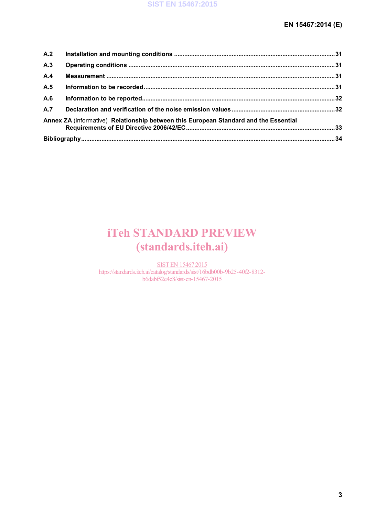| A.2 |                                                                                      |  |
|-----|--------------------------------------------------------------------------------------|--|
| A.3 |                                                                                      |  |
| A.4 |                                                                                      |  |
| A.5 |                                                                                      |  |
| A.6 |                                                                                      |  |
| A.7 |                                                                                      |  |
|     | Annex ZA (informative) Relationship between this European Standard and the Essential |  |
|     |                                                                                      |  |
|     |                                                                                      |  |

# iTeh STANDARD PREVIEW (standards.iteh.ai)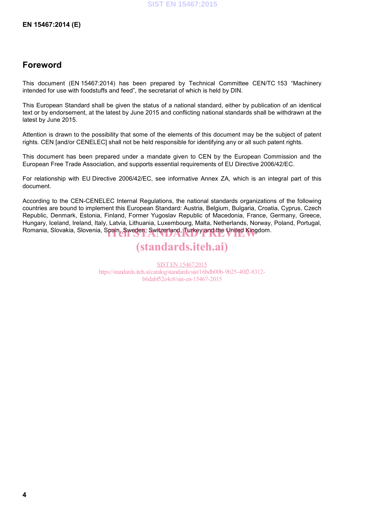### **Foreword**

This document (EN 15467:2014) has been prepared by Technical Committee CEN/TC 153 "Machinery intended for use with foodstuffs and feed", the secretariat of which is held by DIN.

This European Standard shall be given the status of a national standard, either by publication of an identical text or by endorsement, at the latest by June 2015 and conflicting national standards shall be withdrawn at the latest by June 2015.

Attention is drawn to the possibility that some of the elements of this document may be the subject of patent rights. CEN [and/or CENELEC] shall not be held responsible for identifying any or all such patent rights.

This document has been prepared under a mandate given to CEN by the European Commission and the European Free Trade Association, and supports essential requirements of EU Directive 2006/42/EC.

For relationship with EU Directive 2006/42/EC, see informative Annex ZA, which is an integral part of this document.

According to the CEN-CENELEC Internal Regulations, the national standards organizations of the following countries are bound to implement this European Standard: Austria, Belgium, Bulgaria, Croatia, Cyprus, Czech Republic, Denmark, Estonia, Finland, Former Yugoslav Republic of Macedonia, France, Germany, Greece, Hungary, Iceland, Ireland, Italy, Latvia, Lithuania, Luxembourg, Malta, Netherlands, Norway, Poland, Portugal, Romania, Slovakia, Slovenia, Spain, Sweden, Switzerland, Turkey and the United Kingdom.

### (standards.iteh.ai)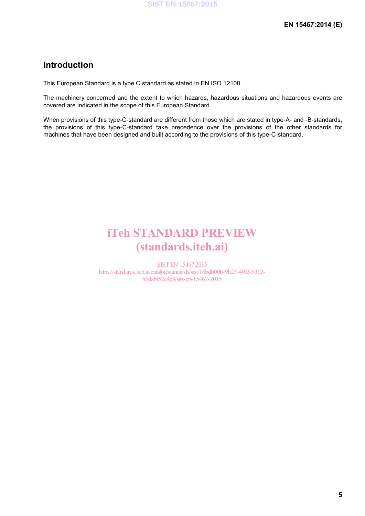### **Introduction**

This European Standard is a type C standard as stated in EN ISO 12100.

The machinery concerned and the extent to which hazards, hazardous situations and hazardous events are covered are indicated in the scope of this European Standard.

When provisions of this type-C-standard are different from those which are stated in type-A- and -B-standards, the provisions of this type-C-standard take precedence over the provisions of the other standards for machines that have been designed and built according to the provisions of this type-C-standard.

# iTeh STANDARD PREVIEW (standards.iteh.ai)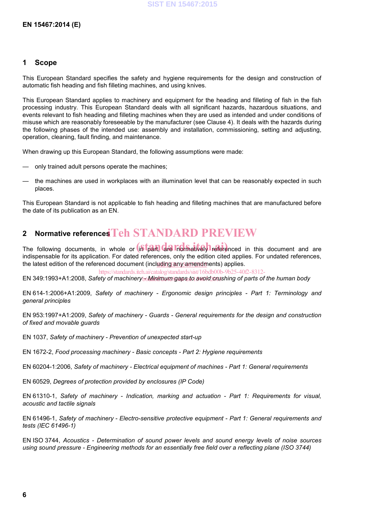#### **1 Scope**

This European Standard specifies the safety and hygiene requirements for the design and construction of automatic fish heading and fish filleting machines, and using knives.

This European Standard applies to machinery and equipment for the heading and filleting of fish in the fish processing industry. This European Standard deals with all significant hazards, hazardous situations, and events relevant to fish heading and filleting machines when they are used as intended and under conditions of misuse which are reasonably foreseeable by the manufacturer (see Clause 4). It deals with the hazards during the following phases of the intended use: assembly and installation, commissioning, setting and adjusting, operation, cleaning, fault finding, and maintenance.

When drawing up this European Standard, the following assumptions were made:

- only trained adult persons operate the machines;
- the machines are used in workplaces with an illumination level that can be reasonably expected in such places.

This European Standard is not applicable to fish heading and filleting machines that are manufactured before the date of its publication as an EN.

# 2 Normative references<sup>Teh</sup> STANDARD PREVIEW

The following documents, in whole or (in thart) are mormatively referenced in this document and are indispensable for its application. For dated references, only the edition cited applies. For undated references, the latest edition of the referenced document (incl<u>uding any amendm</u>ents) applies.

https://standards.iteh.ai/catalog/standards/sist/16bdb00b-9b25-40f2-8312-

EN 349:1993+A1:2008, *Safety of machinery∖<sub>b</sub>Minimum⊗aps to avoid crushing of parts of the human body* 

EN 614-1:2006+A1:2009, *Safety of machinery - Ergonomic design principles - Part 1: Terminology and general principles*

EN 953:1997+A1:2009, *Safety of machinery - Guards - General requirements for the design and construction of fixed and movable guards*

EN 1037, *Safety of machinery - Prevention of unexpected start-up*

EN 1672-2, *Food processing machinery - Basic concepts - Part 2: Hygiene requirements*

EN 60204-1:2006, *Safety of machinery - Electrical equipment of machines - Part 1: General requirements*

EN 60529, *Degrees of protection provided by enclosures (IP Code)*

EN 61310-1, *Safety of machinery - Indication, marking and actuation - Part 1: Requirements for visual, acoustic and tactile signals*

EN 61496-1, *Safety of machinery - Electro-sensitive protective equipment - Part 1: General requirements and tests (IEC 61496-1)*

EN ISO 3744, *Acoustics - Determination of sound power levels and sound energy levels of noise sources using sound pressure - Engineering methods for an essentially free field over a reflecting plane (ISO 3744)*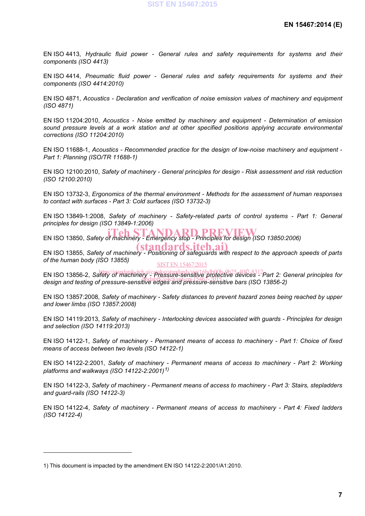EN ISO 4413, *Hydraulic fluid power - General rules and safety requirements for systems and their components (ISO 4413)*

EN ISO 4414, *Pneumatic fluid power - General rules and safety requirements for systems and their components (ISO 4414:2010)*

EN ISO 4871, *Acoustics - Declaration and verification of noise emission values of machinery and equipment (ISO 4871)*

EN ISO 11204:2010, *Acoustics - Noise emitted by machinery and equipment - Determination of emission sound pressure levels at a work station and at other specified positions applying accurate environmental corrections (ISO 11204:2010)*

EN ISO 11688-1, *Acoustics - Recommended practice for the design of low-noise machinery and equipment - Part 1: Planning (ISO/TR 11688-1)*

EN ISO 12100:2010, *Safety of machinery - General principles for design - Risk assessment and risk reduction (ISO 12100:2010)*

EN ISO 13732-3, *Ergonomics of the thermal environment - Methods for the assessment of human responses to contact with surfaces - Part 3: Cold surfaces (ISO 13732-3)*

EN ISO 13849-1:2008, *Safety of machinery - Safety-related parts of control systems - Part 1: General principles for design (ISO 13849-1:2006)*

EN ISO 13850, *Safety of machinery - Emergency stop - Principles for design (ISO 13850:2006)* (standards.iteh.ai)

EN ISO 13855, *Safety of machinery - Positioning of safeguards with respect to the approach speeds of parts of the human body (ISO 13855)*

#### SIST EN 15467:2015

EN ISO 13856-2, *Safety of machinery - Pressure-sensitive protective devices - Part 2: General principles for*  https://standards.iteh.ai/catalog/standards/sist/16bdb00b-9b25-40f2-8312 design and testing of pressure-sensitive edges and pressure-sensitive bars (ISO 13856-2)

EN ISO 13857:2008, *Safety of machinery - Safety distances to prevent hazard zones being reached by upper and lower limbs (ISO 13857:2008)*

EN ISO 14119:2013, *Safety of machinery - Interlocking devices associated with guards - Principles for design and selection (ISO 14119:2013)*

EN ISO 14122-1, *Safety of machinery - Permanent means of access to machinery - Part 1: Choice of fixed means of access between two levels (ISO 14122-1)*

EN ISO 14122-2:2001, *Safety of machinery - Permanent means of access to machinery - Part 2: Working platforms and walkways (ISO 14122-2:2001)1)*

EN ISO 14122-3, *Safety of machinery - Permanent means of access to machinery - Part 3: Stairs, stepladders and guard-rails (ISO 14122-3)*

EN ISO 14122-4, *Safety of machinery - Permanent means of access to machinery - Part 4: Fixed ladders (ISO 14122-4)*

<sup>1)</sup> This document is impacted by the amendment EN ISO 14122-2:2001/A1:2010.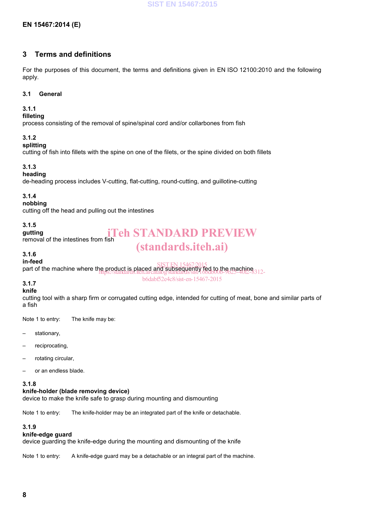#### **EN 15467:2014 (E)**

### **3 Terms and definitions**

For the purposes of this document, the terms and definitions given in EN ISO 12100:2010 and the following apply.

#### **3.1 General**

**3.1.1**

**filleting**

process consisting of the removal of spine/spinal cord and/or collarbones from fish

#### **3.1.2**

**splitting**

cutting of fish into fillets with the spine on one of the filets, or the spine divided on both fillets

#### **3.1.3**

#### **heading**

de-heading process includes V-cutting, flat-cutting, round-cutting, and guillotine-cutting

#### **3.1.4**

**nobbing**

cutting off the head and pulling out the intestines

#### **3.1.5**

**gutting** removal of the intestines from fish

### iTeh STANDARD PREVIEW (standards.iteh.ai)

#### **3.1.6**

**in-feed**

ni-leed<br>part of the machine where th<u>e product is placed and subsequently fed to the machine</u> https://standards.iteh.ai/catalog/standards/sist/16bdb00b-9b25-40f2-8312-

b6dabf52e4c8/sist-en-15467-2015

#### **3.1.7 knife**

cutting tool with a sharp firm or corrugated cutting edge, intended for cutting of meat, bone and similar parts of a fish

Note 1 to entry: The knife may be:

- stationary,
- reciprocating,
- rotating circular,
- or an endless blade.

#### **3.1.8**

#### **knife-holder (blade removing device)**

device to make the knife safe to grasp during mounting and dismounting

Note 1 to entry: The knife-holder may be an integrated part of the knife or detachable.

#### **3.1.9**

#### **knife-edge guard**

device guarding the knife-edge during the mounting and dismounting of the knife

Note 1 to entry: A knife-edge guard may be a detachable or an integral part of the machine.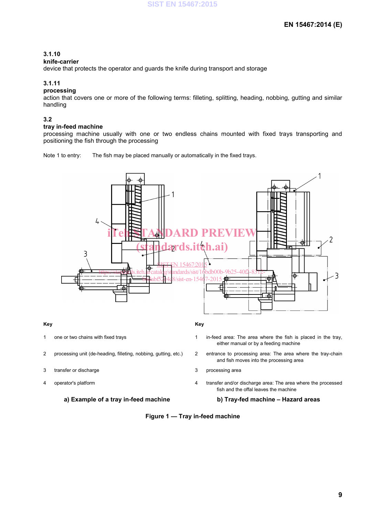#### **3.1.10**

#### **knife-carrier**

device that protects the operator and guards the knife during transport and storage

#### **3.1.11**

#### **processing**

action that covers one or more of the following terms: filleting, splitting, heading, nobbing, gutting and similar handling

#### **3.2**

#### **tray in-feed machine**

processing machine usually with one or two endless chains mounted with fixed trays transporting and positioning the fish through the processing

Note 1 to entry: The fish may be placed manually or automatically in the fixed trays.



- 
- 3 transfer or discharge 3 processing area
- 

#### **a) Example of a tray in-feed machine b) Tray-fed machine – Hazard areas**



2 processing unit (de-heading, filleting, nobbing, gutting, etc.) 2 entrance to processing area: The area where the tray-chain and fish moves into the processing area

- 
- 4 operator's platform  $\sim$  4 transfer and/or discharge area: The area where the processed fish and the offal leaves the machine